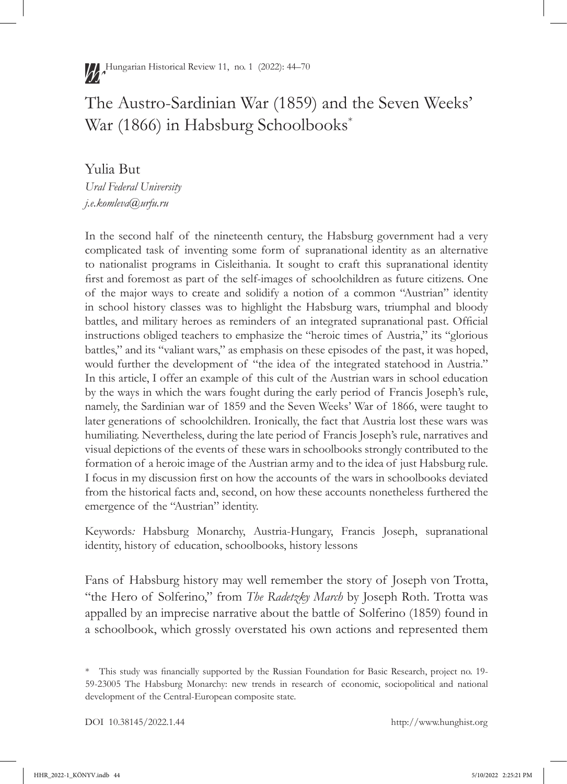# The Austro-Sardinian War (1859) and the Seven Weeks' War (1866) in Habsburg Schoolbooks\*

Yulia But *Ural Federal University j.e.komleva@urfu.ru*

In the second half of the nineteenth century, the Habsburg government had a very complicated task of inventing some form of supranational identity as an alternative to nationalist programs in Cisleithania. It sought to craft this supranational identity first and foremost as part of the self-images of schoolchildren as future citizens. One of the major ways to create and solidify a notion of a common "Austrian" identity in school history classes was to highlight the Habsburg wars, triumphal and bloody battles, and military heroes as reminders of an integrated supranational past. Official instructions obliged teachers to emphasize the "heroic times of Austria," its "glorious battles," and its "valiant wars," as emphasis on these episodes of the past, it was hoped, would further the development of "the idea of the integrated statehood in Austria." In this article, I offer an example of this cult of the Austrian wars in school education by the ways in which the wars fought during the early period of Francis Joseph's rule, namely, the Sardinian war of 1859 and the Seven Weeks' War of 1866, were taught to later generations of schoolchildren. Ironically, the fact that Austria lost these wars was humiliating. Nevertheless, during the late period of Francis Joseph's rule, narratives and visual depictions of the events of these wars in schoolbooks strongly contributed to the formation of a heroic image of the Austrian army and to the idea of just Habsburg rule. I focus in my discussion first on how the accounts of the wars in schoolbooks deviated from the historical facts and, second, on how these accounts nonetheless furthered the emergence of the "Austrian" identity.

Keywords*:* Habsburg Monarchy, Austria-Hungary, Francis Joseph, supranational identity, history of education, schoolbooks, history lessons

Fans of Habsburg history may well remember the story of Joseph von Trotta, "the Hero of Solferino," from *The Radetzky March* by Joseph Roth. Trotta was appalled by an imprecise narrative about the battle of Solferino (1859) found in a schoolbook, which grossly overstated his own actions and represented them

<sup>\*</sup> This study was financially supported by the Russian Foundation for Basic Research, project no. 19- 59-23005 The Habsburg Monarchy: new trends in research of economic, sociopolitical and national development of the Central-European composite state.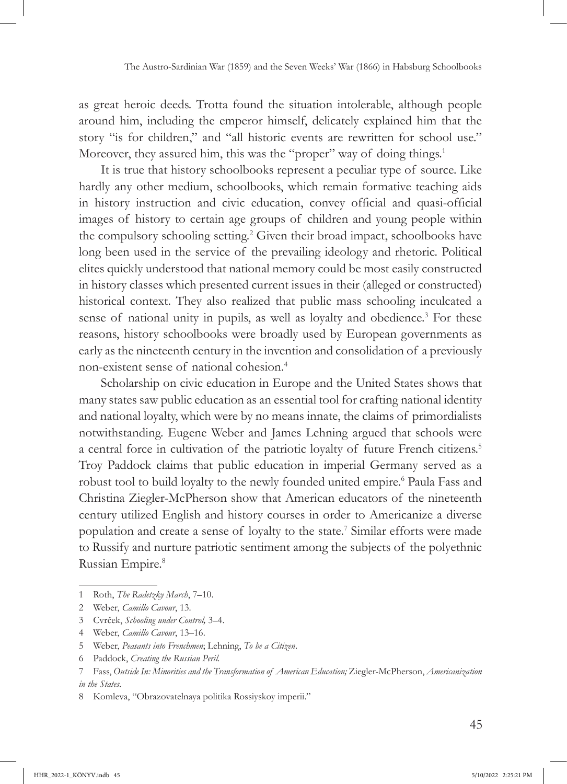as great heroic deeds. Trotta found the situation intolerable, although people around him, including the emperor himself, delicately explained him that the story "is for children," and "all historic events are rewritten for school use." Moreover, they assured him, this was the "proper" way of doing things.<sup>1</sup>

It is true that history schoolbooks represent a peculiar type of source. Like hardly any other medium, schoolbooks, which remain formative teaching aids in history instruction and civic education, convey official and quasi-official images of history to certain age groups of children and young people within the compulsory schooling setting.<sup>2</sup> Given their broad impact, schoolbooks have long been used in the service of the prevailing ideology and rhetoric. Political elites quickly understood that national memory could be most easily constructed in history classes which presented current issues in their (alleged or constructed) historical context. They also realized that public mass schooling inculcated a sense of national unity in pupils, as well as loyalty and obedience.<sup>3</sup> For these reasons, history schoolbooks were broadly used by European governments as early as the nineteenth century in the invention and consolidation of a previously non-existent sense of national cohesion.4

Scholarship on civic education in Europe and the United States shows that many states saw public education as an essential tool for crafting national identity and national loyalty, which were by no means innate, the claims of primordialists notwithstanding. Eugene Weber and James Lehning argued that schools were a central force in cultivation of the patriotic loyalty of future French citizens.5 Troy Paddock claims that public education in imperial Germany served as a robust tool to build loyalty to the newly founded united empire.<sup>6</sup> Paula Fass and Christina Ziegler-McPherson show that American educators of the nineteenth century utilized English and history courses in order to Americanize a diverse population and create a sense of loyalty to the state.7 Similar efforts were made to Russify and nurture patriotic sentiment among the subjects of the polyethnic Russian Empire.8

<sup>1</sup> Roth, *The Radetzky March*, 7–10.

<sup>2</sup> Weber, *Camillo Cavour*, 13.

<sup>3</sup> Cvrček, *Schooling under Control,* 3–4.

<sup>4</sup> Weber, *Camillo Cavour*, 13–16.

<sup>5</sup> Weber, *Peasants into Frenchmen*; Lehning, *To be a Citizen*.

<sup>6</sup> Paddock, *Creating the Russian Peril.*

<sup>7</sup> Fass, *Outside In: Minorities and the Transformation of American Education;* Ziegler-McPherson, *Americanization in the States*.

<sup>8</sup> Komleva, "Obrazovatelnaya politika Rossiyskoy imperii."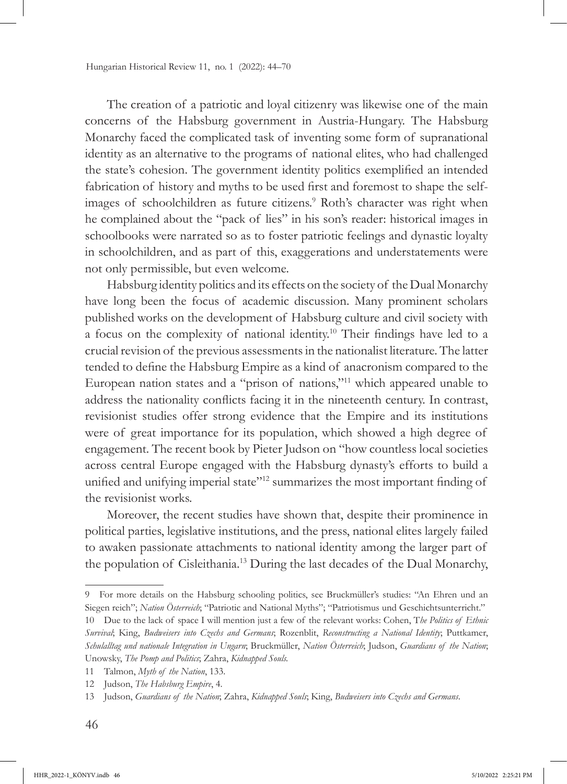The creation of a patriotic and loyal citizenry was likewise one of the main concerns of the Habsburg government in Austria-Hungary. The Habsburg Monarchy faced the complicated task of inventing some form of supranational identity as an alternative to the programs of national elites, who had challenged the state's cohesion. The government identity politics exemplified an intended fabrication of history and myths to be used first and foremost to shape the selfimages of schoolchildren as future citizens.<sup>9</sup> Roth's character was right when he complained about the "pack of lies" in his son's reader: historical images in schoolbooks were narrated so as to foster patriotic feelings and dynastic loyalty in schoolchildren, and as part of this, exaggerations and understatements were not only permissible, but even welcome.

Habsburg identity politics and its effects on the society of the Dual Monarchy have long been the focus of academic discussion. Many prominent scholars published works on the development of Habsburg culture and civil society with a focus on the complexity of national identity.10 Their findings have led to a crucial revision of the previous assessments in the nationalist literature. The latter tended to define the Habsburg Empire as a kind of anacronism compared to the European nation states and a "prison of nations,"11 which appeared unable to address the nationality conflicts facing it in the nineteenth century. In contrast, revisionist studies offer strong evidence that the Empire and its institutions were of great importance for its population, which showed a high degree of engagement. The recent book by Pieter Judson on "how countless local societies across central Europe engaged with the Habsburg dynasty's efforts to build a unified and unifying imperial state"<sup>12</sup> summarizes the most important finding of the revisionist works.

Moreover, the recent studies have shown that, despite their prominence in political parties, legislative institutions, and the press, national elites largely failed to awaken passionate attachments to national identity among the larger part of the population of Cisleithania.13 During the last decades of the Dual Monarchy,

<sup>9</sup> For more details on the Habsburg schooling politics, see Bruckmüller's studies: "An Ehren und an Siegen reich"; *Nation Österreich*; "Patriotic and National Myths"; "Patriotismus und Geschichtsunterricht." 10 Due to the lack of space I will mention just a few of the relevant works: Cohen, T*he Politics of Ethnic Survival*; King, *Budweisers into Czechs and Germans*; Rozenblit, *Reconstructing a National Identity*; Puttkamer, *Schulalltag und nationale Integration in Ungarn*; Bruckmüller, *Nation Österreich*; Judson, *Guardians of the Nation*; Unowsky, *The Pomp and Politics*; Zahra, *Kidnapped Souls.*

<sup>11</sup> Talmon, *Myth of the Nation*, 133.

<sup>12</sup> Judson, *The Habsburg Empire*, 4.

<sup>13</sup> Judson, *Guardians of the Nation*; Zahra, *Kidnapped Souls*; King, *Budweisers into Czechs and Germans*.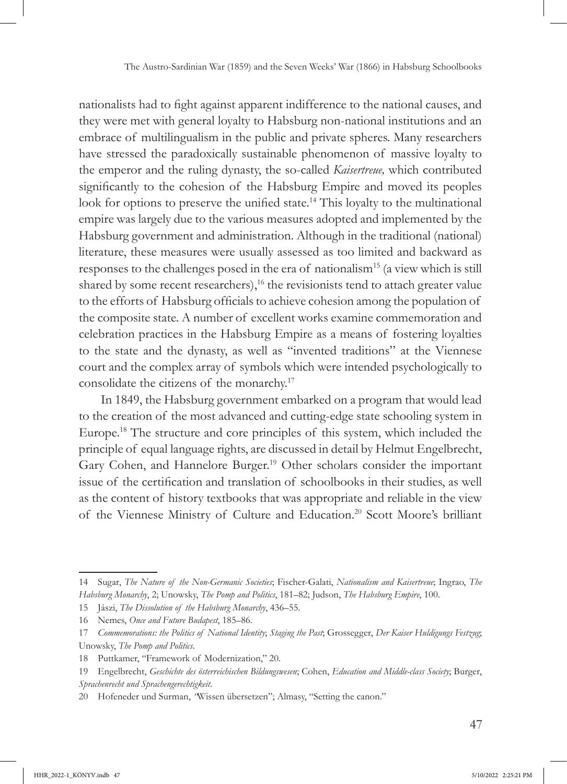nationalists had to fight against apparent indifference to the national causes, and they were met with general loyalty to Habsburg non-national institutions and an embrace of multilingualism in the public and private spheres. Many researchers have stressed the paradoxically sustainable phenomenon of massive loyalty to the emperor and the ruling dynasty, the so-called *Kaisertreue,* which contributed significantly to the cohesion of the Habsburg Empire and moved its peoples look for options to preserve the unified state.<sup>14</sup> This loyalty to the multinational empire was largely due to the various measures adopted and implemented by the Habsburg government and administration. Although in the traditional (national) literature, these measures were usually assessed as too limited and backward as responses to the challenges posed in the era of nationalism15 (a view which is still shared by some recent researchers),<sup>16</sup> the revisionists tend to attach greater value to the efforts of Habsburg officials to achieve cohesion among the population of the composite state. A number of excellent works examine commemoration and celebration practices in the Habsburg Empire as a means of fostering loyalties to the state and the dynasty, as well as "invented traditions" at the Viennese court and the complex array of symbols which were intended psychologically to consolidate the citizens of the monarchy.17

In 1849, the Habsburg government embarked on a program that would lead to the creation of the most advanced and cutting-edge state schooling system in Europe.18 The structure and core principles of this system, which included the principle of equal language rights, are discussed in detail by Helmut Engelbrecht, Gary Cohen, and Hannelore Burger.19 Other scholars consider the important issue of the certification and translation of schoolbooks in their studies, as well as the content of history textbooks that was appropriate and reliable in the view of the Viennese Ministry of Culture and Education.20 Scott Moore's brilliant

<sup>14</sup> Sugar, *The Nature of the Non-Germanic Societies*; Fischer-Galati, *Nationalism and Kaisertreue*; Ingrao, *The Habsburg Monarchy*, 2; Unowsky, *The Pomp and Politics*, 181–82; Judson, *The Habsburg Empire*, 100.

<sup>15</sup> Jászi, *The Dissolution of the Habsburg Monarchy*, 436–55.

<sup>16</sup> Nemes, *Once and Future Budapest*, 185–86.

<sup>17</sup> *Commemorations: the Politics of National Identity*; *Staging the Past*; Grossegger, *Der Kaiser Huldigungs Festzug*; Unowsky, *The Pomp and Politics*.

<sup>18</sup> Puttkamer, "Framework of Modernization," 20.

<sup>19</sup> Engelbrecht, *Geschichte des österreichischen Bildungswesen*; Cohen, *Education and Middle-class Society*; Burger, *Sprachenrecht und Sprachengerechtigkeit*.

<sup>20</sup> Hofeneder und Surman, *"*Wissen übersetzen"; Almasy, "Setting the canon."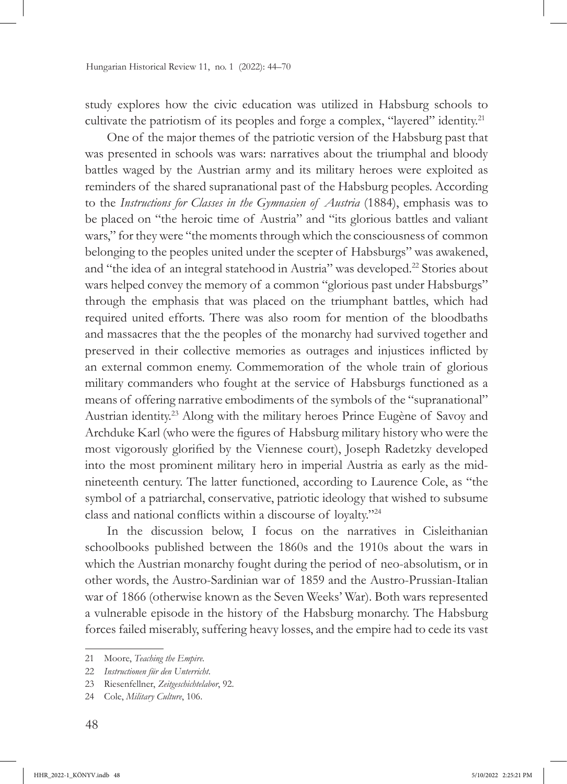study explores how the civic education was utilized in Habsburg schools to cultivate the patriotism of its peoples and forge a complex, "layered" identity.<sup>21</sup>

One of the major themes of the patriotic version of the Habsburg past that was presented in schools was wars: narratives about the triumphal and bloody battles waged by the Austrian army and its military heroes were exploited as reminders of the shared supranational past of the Habsburg peoples. According to the *Instructions for Classes in the Gymnasien of Austria* (1884), emphasis was to be placed on "the heroic time of Austria" and "its glorious battles and valiant wars," for they were "the moments through which the consciousness of common belonging to the peoples united under the scepter of Habsburgs" was awakened, and "the idea of an integral statehood in Austria" was developed.22 Stories about wars helped convey the memory of a common "glorious past under Habsburgs" through the emphasis that was placed on the triumphant battles, which had required united efforts. There was also room for mention of the bloodbaths and massacres that the the peoples of the monarchy had survived together and preserved in their collective memories as outrages and injustices inflicted by an external common enemy. Commemoration of the whole train of glorious military commanders who fought at the service of Habsburgs functioned as a means of offering narrative embodiments of the symbols of the "supranational" Austrian identity.23 Along with the military heroes Prince Eugène of Savoy and Archduke Karl (who were the figures of Habsburg military history who were the most vigorously glorified by the Viennese court), Joseph Radetzky developed into the most prominent military hero in imperial Austria as early as the midnineteenth century. The latter functioned, according to Laurence Cole, as "the symbol of a patriarchal, conservative, patriotic ideology that wished to subsume class and national conflicts within a discourse of loyalty."<sup>24</sup>

In the discussion below, I focus on the narratives in Cisleithanian schoolbooks published between the 1860s and the 1910s about the wars in which the Austrian monarchy fought during the period of neo-absolutism, or in other words, the Austro-Sardinian war of 1859 and the Austro-Prussian-Italian war of 1866 (otherwise known as the Seven Weeks' War). Both wars represented a vulnerable episode in the history of the Habsburg monarchy. The Habsburg forces failed miserably, suffering heavy losses, and the empire had to cede its vast

<sup>21</sup> Moore, *Teaching the Empire.*

<sup>22</sup> *Instructionen für den Unterricht*.

<sup>23</sup> Riesenfellner, *Zeitgeschichtelabor*, 92.

<sup>24</sup> Cole, *Military Culture*, 106.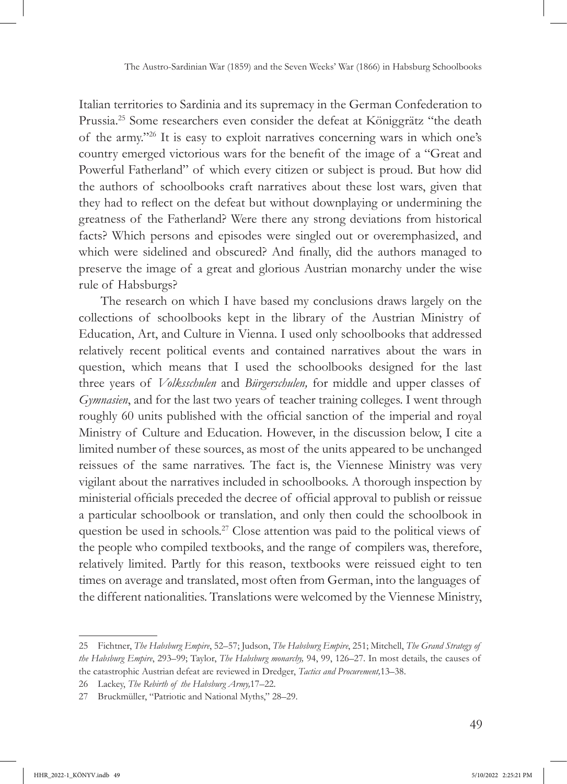Italian territories to Sardinia and its supremacy in the German Confederation to Prussia.25 Some researchers even consider the defeat at Königgrätz "the death of the army."26 It is easy to exploit narratives concerning wars in which one's country emerged victorious wars for the benefit of the image of a "Great and Powerful Fatherland" of which every citizen or subject is proud. But how did the authors of schoolbooks craft narratives about these lost wars, given that they had to reflect on the defeat but without downplaying or undermining the greatness of the Fatherland? Were there any strong deviations from historical facts? Which persons and episodes were singled out or overemphasized, and which were sidelined and obscured? And finally, did the authors managed to preserve the image of a great and glorious Austrian monarchy under the wise rule of Habsburgs?

The research on which I have based my conclusions draws largely on the collections of schoolbooks kept in the library of the Austrian Ministry of Education, Art, and Culture in Vienna. I used only schoolbooks that addressed relatively recent political events and contained narratives about the wars in question, which means that I used the schoolbooks designed for the last three years of *Volksschulen* and *Bürgerschulen,* for middle and upper classes of *Gymnasien*, and for the last two years of teacher training colleges. I went through roughly 60 units published with the official sanction of the imperial and royal Ministry of Culture and Education. However, in the discussion below, I cite a limited number of these sources, as most of the units appeared to be unchanged reissues of the same narratives. The fact is, the Viennese Ministry was very vigilant about the narratives included in schoolbooks. A thorough inspection by ministerial officials preceded the decree of official approval to publish or reissue a particular schoolbook or translation, and only then could the schoolbook in question be used in schools.<sup>27</sup> Close attention was paid to the political views of the people who compiled textbooks, and the range of compilers was, therefore, relatively limited. Partly for this reason, textbooks were reissued eight to ten times on average and translated, most often from German, into the languages of the different nationalities. Translations were welcomed by the Viennese Ministry,

<sup>25</sup> Fichtner, *The Habsburg Empire*, 52–57; Judson, *The Habsburg Empire*, 251; Mitchell, *The Grand Strategy of the Habsburg Empire*, 293–99; Taylor, *The Habsburg monarchy,* 94, 99, 126–27. In most details, the causes of the catastrophic Austrian defeat are reviewed in Dredger, *Tactics and Procurement,*13–38.

<sup>26</sup> Lackey, *The Rebirth of the Habsburg Army,*17–22.

<sup>27</sup> Bruckmüller, "Patriotic and National Myths," 28–29.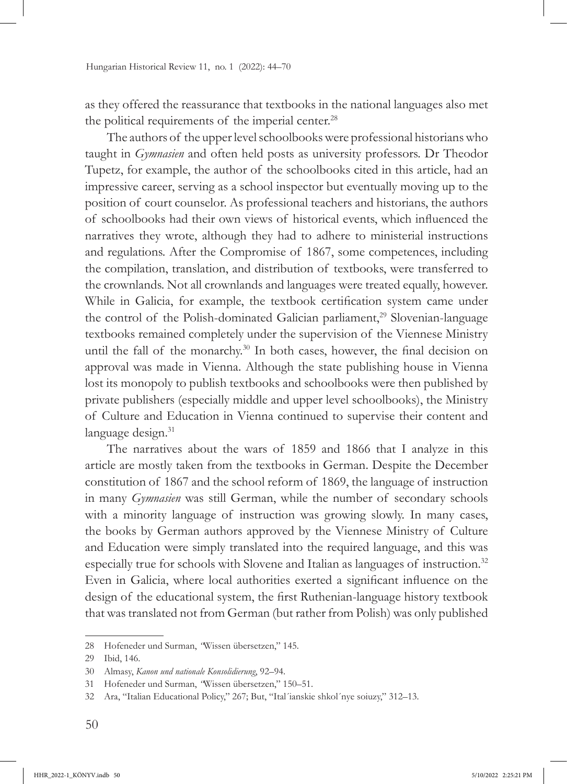as they offered the reassurance that textbooks in the national languages also met the political requirements of the imperial center.<sup>28</sup>

The authors of the upper level schoolbooks were professional historians who taught in *Gymnasien* and often held posts as university professors. Dr Theodor Tupetz, for example, the author of the schoolbooks cited in this article, had an impressive career, serving as a school inspector but eventually moving up to the position of court counselor. As professional teachers and historians, the authors of schoolbooks had their own views of historical events, which influenced the narratives they wrote, although they had to adhere to ministerial instructions and regulations. After the Compromise of 1867, some competences, including the compilation, translation, and distribution of textbooks, were transferred to the crownlands. Not all crownlands and languages were treated equally, however. While in Galicia, for example, the textbook certification system came under the control of the Polish-dominated Galician parliament,<sup>29</sup> Slovenian-language textbooks remained completely under the supervision of the Viennese Ministry until the fall of the monarchy.<sup>30</sup> In both cases, however, the final decision on approval was made in Vienna. Although the state publishing house in Vienna lost its monopoly to publish textbooks and schoolbooks were then published by private publishers (especially middle and upper level schoolbooks), the Ministry of Culture and Education in Vienna continued to supervise their content and language design.<sup>31</sup>

The narratives about the wars of 1859 and 1866 that I analyze in this article are mostly taken from the textbooks in German. Despite the December constitution of 1867 and the school reform of 1869, the language of instruction in many *Gymnasien* was still German, while the number of secondary schools with a minority language of instruction was growing slowly. In many cases, the books by German authors approved by the Viennese Ministry of Culture and Education were simply translated into the required language, and this was especially true for schools with Slovene and Italian as languages of instruction.<sup>32</sup> Even in Galicia, where local authorities exerted a significant influence on the design of the educational system, the first Ruthenian-language history textbook that was translated not from German (but rather from Polish) was only published

<sup>28</sup> Hofeneder und Surman, *"*Wissen übersetzen," 145.

<sup>29</sup> Ibid, 146.

<sup>30</sup> Almasy, *Kanon und nationale Konsolidierung*, 92–94.

<sup>31</sup> Hofeneder und Surman, *"*Wissen übersetzen," 150–51.

<sup>32</sup> Ara, "Italian Educational Policy," 267; But, "Ital´ianskie shkol´nye soiuzy," 312–13.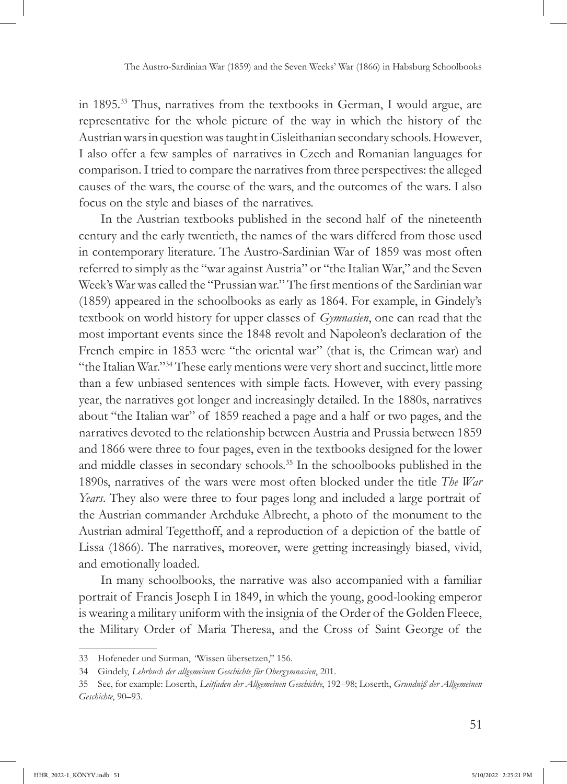in 1895.33 Thus, narratives from the textbooks in German, I would argue, are representative for the whole picture of the way in which the history of the Austrian wars in question was taught in Cisleithanian secondary schools. However, I also offer a few samples of narratives in Czech and Romanian languages for comparison. I tried to compare the narratives from three perspectives: the alleged causes of the wars, the course of the wars, and the outcomes of the wars. I also focus on the style and biases of the narratives.

In the Austrian textbooks published in the second half of the nineteenth century and the early twentieth, the names of the wars differed from those used in contemporary literature. The Austro-Sardinian War of 1859 was most often referred to simply as the "war against Austria" or "the Italian War," and the Seven Week's War was called the "Prussian war." The first mentions of the Sardinian war (1859) appeared in the schoolbooks as early as 1864. For example, in Gindely's textbook on world history for upper classes of *Gymnasien*, one can read that the most important events since the 1848 revolt and Napoleon's declaration of the French empire in 1853 were "the oriental war" (that is, the Crimean war) and "the Italian War."34 These early mentions were very short and succinct, little more than a few unbiased sentences with simple facts. However, with every passing year, the narratives got longer and increasingly detailed. In the 1880s, narratives about "the Italian war" of 1859 reached a page and a half or two pages, and the narratives devoted to the relationship between Austria and Prussia between 1859 and 1866 were three to four pages, even in the textbooks designed for the lower and middle classes in secondary schools.35 In the schoolbooks published in the 1890s, narratives of the wars were most often blocked under the title *The War Years*. They also were three to four pages long and included a large portrait of the Austrian commander Archduke Albrecht, a photo of the monument to the Austrian admiral Tegetthoff, and a reproduction of a depiction of the battle of Lissa (1866). The narratives, moreover, were getting increasingly biased, vivid, and emotionally loaded.

In many schoolbooks, the narrative was also accompanied with a familiar portrait of Francis Joseph I in 1849, in which the young, good-looking emperor is wearing a military uniform with the insignia of the Order of the Golden Fleece, the Military Order of Maria Theresa, and the Cross of Saint George of the

<sup>33</sup> Hofeneder und Surman, *"*Wissen übersetzen," 156.

<sup>34</sup> Gindely, *Lehrbuch der allgemeinen Geschichte für Obergymnasien*, 201.

<sup>35</sup> See, for example: Loserth, *Leitfaden der Allgemeinen Geschichte*, 192–98; Loserth, *Grundniß der Allgemeinen Geschichte*, 90–93.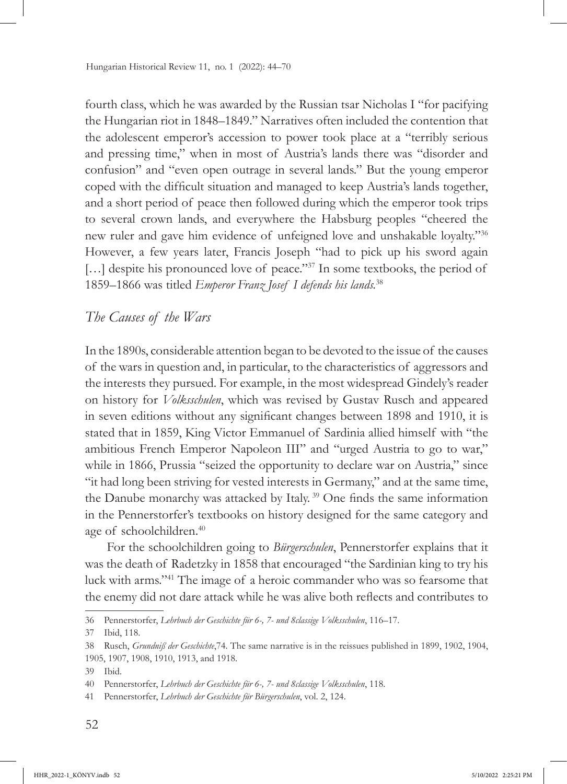fourth class, which he was awarded by the Russian tsar Nicholas I "for pacifying the Hungarian riot in 1848–1849." Narratives often included the contention that the adolescent emperor's accession to power took place at a "terribly serious and pressing time," when in most of Austria's lands there was "disorder and confusion" and "even open outrage in several lands." But the young emperor coped with the difficult situation and managed to keep Austria's lands together, and a short period of peace then followed during which the emperor took trips to several crown lands, and everywhere the Habsburg peoples "cheered the new ruler and gave him evidence of unfeigned love and unshakable loyalty."<sup>36</sup> However, a few years later, Francis Joseph "had to pick up his sword again [...] despite his pronounced love of peace."<sup>37</sup> In some textbooks, the period of 1859–1866 was titled *Emperor Franz Josef I defends his lands.*<sup>38</sup>

#### *The Causes of the Wars*

In the 1890s, considerable attention began to be devoted to the issue of the causes of the wars in question and, in particular, to the characteristics of aggressors and the interests they pursued. For example, in the most widespread Gindely's reader on history for *Volksschulen*, which was revised by Gustav Rusch and appeared in seven editions without any significant changes between 1898 and 1910, it is stated that in 1859, King Victor Emmanuel of Sardinia allied himself with "the ambitious French Emperor Napoleon III" and "urged Austria to go to war," while in 1866, Prussia "seized the opportunity to declare war on Austria," since "it had long been striving for vested interests in Germany," and at the same time, the Danube monarchy was attacked by Italy.<sup>39</sup> One finds the same information in the Pennerstorfer's textbooks on history designed for the same category and age of schoolchildren.40

For the schoolchildren going to *Bürgerschulen*, Pennerstorfer explains that it was the death of Radetzky in 1858 that encouraged "the Sardinian king to try his luck with arms."41 The image of a heroic commander who was so fearsome that the enemy did not dare attack while he was alive both reflects and contributes to

<sup>36</sup> Pennerstorfer, *Lehrbuch der Geschichte für 6-, 7- und 8classige Volksschulen*, 116–17.

<sup>37</sup> Ibid, 118.

<sup>38</sup> Rusch, *Grundniß der Geschichte*,74. The same narrative is in the reissues published in 1899, 1902, 1904, 1905, 1907, 1908, 1910, 1913, and 1918.

<sup>39</sup> Ibid.

<sup>40</sup> Pennerstorfer, *Lehrbuch der Geschichte für 6-, 7- und 8classige Volksschulen*, 118.

<sup>41</sup> Pennerstorfer, *Lehrbuch der Geschichte für Bürgerschulen*, vol. 2, 124.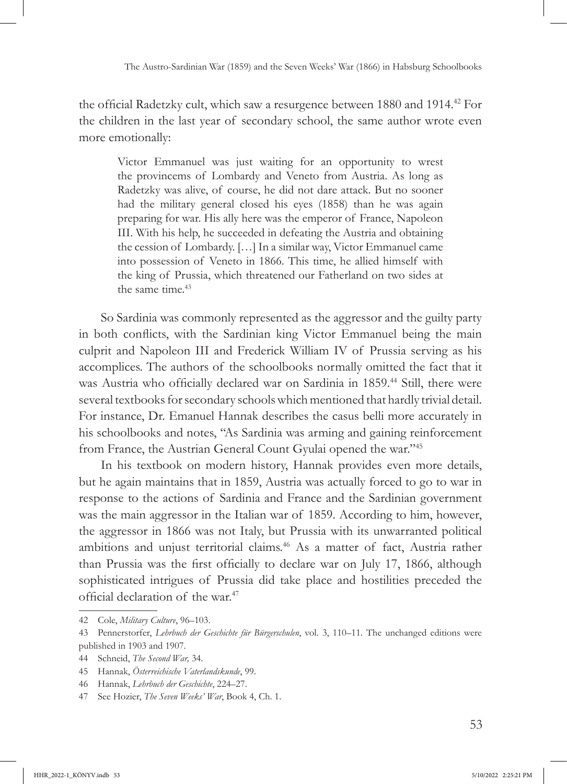the official Radetzky cult, which saw a resurgence between 1880 and 1914.42 For the children in the last year of secondary school, the same author wrote even more emotionally:

Victor Emmanuel was just waiting for an opportunity to wrest the provincems of Lombardy and Veneto from Austria. As long as Radetzky was alive, of course, he did not dare attack. But no sooner had the military general closed his eyes (1858) than he was again preparing for war. His ally here was the emperor of France, Napoleon III. With his help, he succeeded in defeating the Austria and obtaining the cession of Lombardy. […] In a similar way, Victor Emmanuel came into possession of Veneto in 1866. This time, he allied himself with the king of Prussia, which threatened our Fatherland on two sides at the same time.<sup>43</sup>

So Sardinia was commonly represented as the aggressor and the guilty party in both conflicts, with the Sardinian king Victor Emmanuel being the main culprit and Napoleon III and Frederick William IV of Prussia serving as his accomplices. The authors of the schoolbooks normally omitted the fact that it was Austria who officially declared war on Sardinia in 1859.<sup>44</sup> Still, there were several textbooks for secondary schools which mentioned that hardly trivial detail. For instance, Dr. Emanuel Hannak describes the casus belli more accurately in his schoolbooks and notes, "As Sardinia was arming and gaining reinforcement from France, the Austrian General Count Gyulai opened the war."<sup>45</sup>

In his textbook on modern history, Hannak provides even more details, but he again maintains that in 1859, Austria was actually forced to go to war in response to the actions of Sardinia and France and the Sardinian government was the main aggressor in the Italian war of 1859. According to him, however, the aggressor in 1866 was not Italy, but Prussia with its unwarranted political ambitions and unjust territorial claims.46 As a matter of fact, Austria rather than Prussia was the first officially to declare war on July 17, 1866, although sophisticated intrigues of Prussia did take place and hostilities preceded the official declaration of the war.<sup>47</sup>

<sup>42</sup> Cole, *Military Culture*, 96–103.

<sup>43</sup> Pennerstorfer, *Lehrbuch der Geschichte für Bürgerschulen*, vol. 3, 110–11. The unchanged editions were published in 1903 and 1907.

<sup>44</sup> Schneid, *The Second War,* 34.

<sup>45</sup> Hannak, *Österreichische Vaterlandskunde*, 99.

<sup>46</sup> Hannak, *Lehrbuch der Geschichte*, 224–27.

<sup>47</sup> See Hozier, *The Seven Weeks' War*, Book 4, Ch. 1.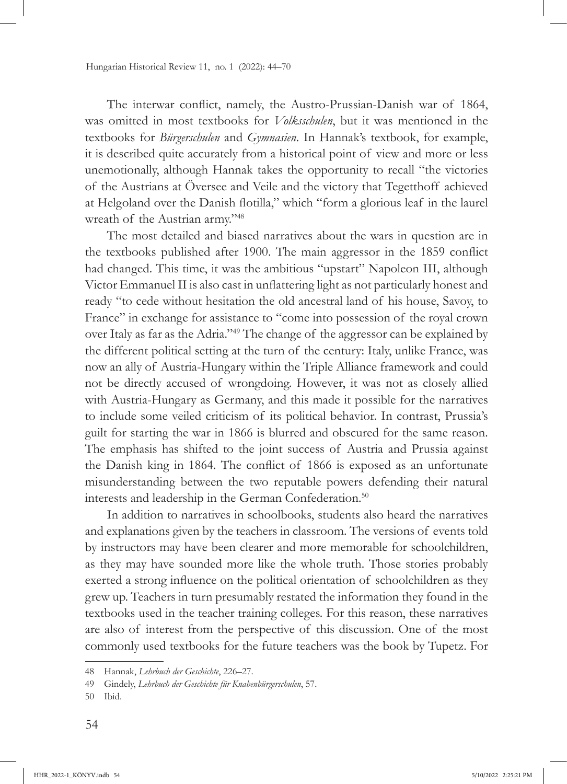The interwar conflict, namely, the Austro-Prussian-Danish war of 1864, was omitted in most textbooks for *Volksschulen*, but it was mentioned in the textbooks for *Bürgerschulen* and *Gymnasien*. In Hannak's textbook, for example, it is described quite accurately from a historical point of view and more or less unemotionally, although Hannak takes the opportunity to recall "the victories of the Austrians at Översee and Veile and the victory that Tegetthoff achieved at Helgoland over the Danish flotilla," which "form a glorious leaf in the laurel wreath of the Austrian army."<sup>48</sup>

The most detailed and biased narratives about the wars in question are in the textbooks published after 1900. The main aggressor in the 1859 conflict had changed. This time, it was the ambitious "upstart" Napoleon III, although Victor Emmanuel II is also cast in unflattering light as not particularly honest and ready "to cede without hesitation the old ancestral land of his house, Savoy, to France" in exchange for assistance to "come into possession of the royal crown over Italy as far as the Adria."49 The change of the aggressor can be explained by the different political setting at the turn of the century: Italy, unlike France, was now an ally of Austria-Hungary within the Triple Alliance framework and could not be directly accused of wrongdoing. However, it was not as closely allied with Austria-Hungary as Germany, and this made it possible for the narratives to include some veiled criticism of its political behavior. In contrast, Prussia's guilt for starting the war in 1866 is blurred and obscured for the same reason. The emphasis has shifted to the joint success of Austria and Prussia against the Danish king in 1864. The conflict of 1866 is exposed as an unfortunate misunderstanding between the two reputable powers defending their natural interests and leadership in the German Confederation.50

In addition to narratives in schoolbooks, students also heard the narratives and explanations given by the teachers in classroom. The versions of events told by instructors may have been clearer and more memorable for schoolchildren, as they may have sounded more like the whole truth. Those stories probably exerted a strong influence on the political orientation of schoolchildren as they grew up. Teachers in turn presumably restated the information they found in the textbooks used in the teacher training colleges. For this reason, these narratives are also of interest from the perspective of this discussion. One of the most commonly used textbooks for the future teachers was the book by Tupetz. For

<sup>48</sup> Hannak, *Lehrbuch der Geschichte*, 226–27.

<sup>49</sup> Gindely, *Lehrbuch der Geschichte für Knabenbürgerschulen*, 57.

<sup>50</sup> Ibid.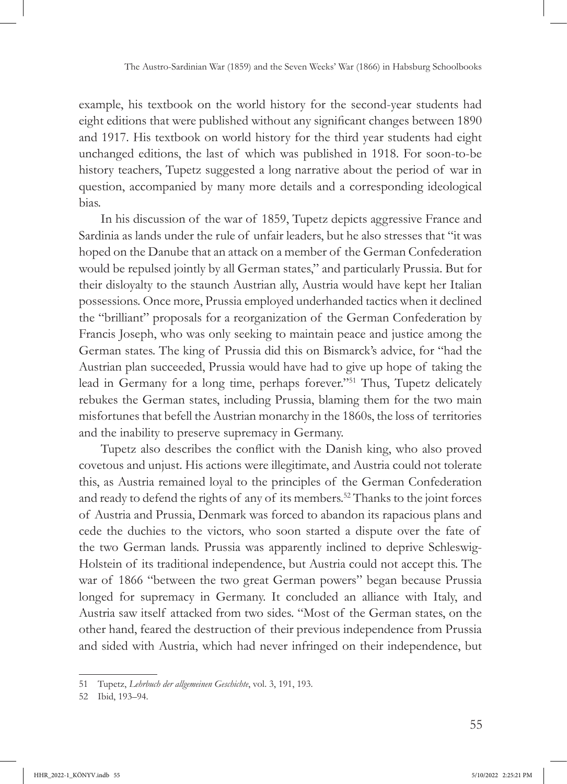example, his textbook on the world history for the second-year students had eight editions that were published without any significant changes between 1890 and 1917. His textbook on world history for the third year students had eight unchanged editions, the last of which was published in 1918. For soon-to-be history teachers, Tupetz suggested a long narrative about the period of war in question, accompanied by many more details and a corresponding ideological bias.

In his discussion of the war of 1859, Tupetz depicts aggressive France and Sardinia as lands under the rule of unfair leaders, but he also stresses that "it was hoped on the Danube that an attack on a member of the German Confederation would be repulsed jointly by all German states," and particularly Prussia. But for their disloyalty to the staunch Austrian ally, Austria would have kept her Italian possessions. Once more, Prussia employed underhanded tactics when it declined the "brilliant" proposals for a reorganization of the German Confederation by Francis Joseph, who was only seeking to maintain peace and justice among the German states. The king of Prussia did this on Bismarck's advice, for "had the Austrian plan succeeded, Prussia would have had to give up hope of taking the lead in Germany for a long time, perhaps forever."51 Thus, Tupetz delicately rebukes the German states, including Prussia, blaming them for the two main misfortunes that befell the Austrian monarchy in the 1860s, the loss of territories and the inability to preserve supremacy in Germany.

Tupetz also describes the conflict with the Danish king, who also proved covetous and unjust. His actions were illegitimate, and Austria could not tolerate this, as Austria remained loyal to the principles of the German Confederation and ready to defend the rights of any of its members.52 Thanks to the joint forces of Austria and Prussia, Denmark was forced to abandon its rapacious plans and cede the duchies to the victors, who soon started a dispute over the fate of the two German lands. Prussia was apparently inclined to deprive Schleswig-Holstein of its traditional independence, but Austria could not accept this. The war of 1866 "between the two great German powers" began because Prussia longed for supremacy in Germany. It concluded an alliance with Italy, and Austria saw itself attacked from two sides. "Most of the German states, on the other hand, feared the destruction of their previous independence from Prussia and sided with Austria, which had never infringed on their independence, but

<sup>51</sup> Tupetz, *Lehrbuch der allgemeinen Geschichte*, vol. 3, 191, 193.

<sup>52</sup> Ibid, 193–94.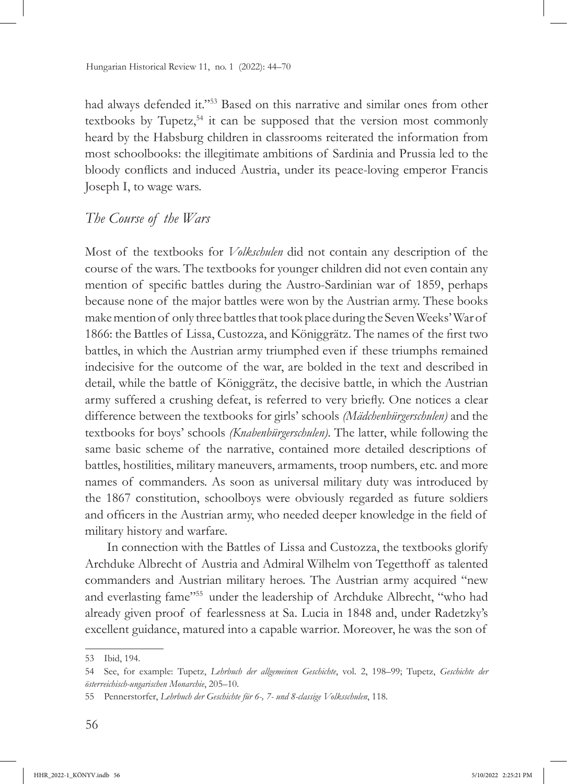had always defended it."53 Based on this narrative and similar ones from other textbooks by Tupetz, $54$  it can be supposed that the version most commonly heard by the Habsburg children in classrooms reiterated the information from most schoolbooks: the illegitimate ambitions of Sardinia and Prussia led to the bloody conflicts and induced Austria, under its peace-loving emperor Francis Joseph I, to wage wars.

#### *The Course of the Wars*

Most of the textbooks for *Volkschulen* did not contain any description of the course of the wars. The textbooks for younger children did not even contain any mention of specific battles during the Austro-Sardinian war of 1859, perhaps because none of the major battles were won by the Austrian army. These books make mention of only three battles that took place during the Seven Weeks' War of 1866: the Battles of Lissa, Custozza, and Königgrätz. The names of the first two battles, in which the Austrian army triumphed even if these triumphs remained indecisive for the outcome of the war, are bolded in the text and described in detail, while the battle of Königgrätz, the decisive battle, in which the Austrian army suffered a crushing defeat, is referred to very briefly. One notices a clear difference between the textbooks for girls' schools *(Mädchenbürgerschulen)* and the textbooks for boys' schools *(Knabenbürgerschulen)*. The latter, while following the same basic scheme of the narrative, contained more detailed descriptions of battles, hostilities, military maneuvers, armaments, troop numbers, etc. and more names of commanders. As soon as universal military duty was introduced by the 1867 constitution, schoolboys were obviously regarded as future soldiers and officers in the Austrian army, who needed deeper knowledge in the field of military history and warfare.

In connection with the Battles of Lissa and Custozza, the textbooks glorify Archduke Albrecht of Austria and Admiral Wilhelm von Tegetthoff as talented commanders and Austrian military heroes. The Austrian army acquired "new and everlasting fame"55 under the leadership of Archduke Albrecht, "who had already given proof of fearlessness at Sa. Lucia in 1848 and, under Radetzky's excellent guidance, matured into a capable warrior. Moreover, he was the son of

<sup>53</sup> Ibid, 194.

<sup>54</sup> See, for example: Tupetz, *Lehrbuch der allgemeinen Geschichte*, vol. 2, 198–99; Tupetz, *Geschichte der österreichisch-ungarischen Monarchie*, 205–10.

<sup>55</sup> Pennerstorfer, *Lehrbuch der Geschichte für 6-, 7- und 8-classige Volksschulen*, 118.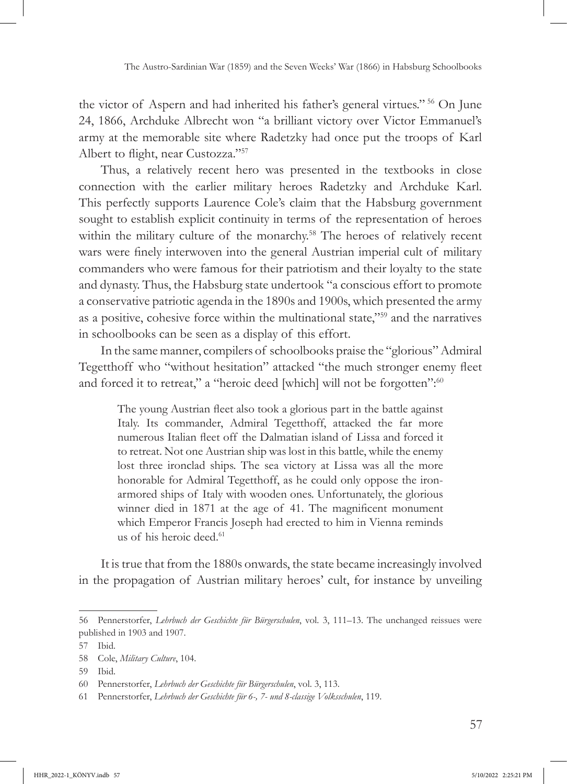the victor of Aspern and had inherited his father's general virtues." 56 On June 24, 1866, Archduke Albrecht won "a brilliant victory over Victor Emmanuel's army at the memorable site where Radetzky had once put the troops of Karl Albert to flight, near Custozza."<sup>57</sup>

Thus, a relatively recent hero was presented in the textbooks in close connection with the earlier military heroes Radetzky and Archduke Karl. This perfectly supports Laurence Cole's claim that the Habsburg government sought to establish explicit continuity in terms of the representation of heroes within the military culture of the monarchy.<sup>58</sup> The heroes of relatively recent wars were finely interwoven into the general Austrian imperial cult of military commanders who were famous for their patriotism and their loyalty to the state and dynasty. Thus, the Habsburg state undertook "a conscious effort to promote a conservative patriotic agenda in the 1890s and 1900s, which presented the army as a positive, cohesive force within the multinational state,"59 and the narratives in schoolbooks can be seen as a display of this effort.

In the same manner, compilers of schoolbooks praise the "glorious" Admiral Tegetthoff who "without hesitation" attacked "the much stronger enemy fleet and forced it to retreat," a "heroic deed [which] will not be forgotten":<sup>60</sup>

The young Austrian fleet also took a glorious part in the battle against Italy. Its commander, Admiral Tegetthoff, attacked the far more numerous Italian fleet off the Dalmatian island of Lissa and forced it to retreat. Not one Austrian ship was lost in this battle, while the enemy lost three ironclad ships. The sea victory at Lissa was all the more honorable for Admiral Tegetthoff, as he could only oppose the ironarmored ships of Italy with wooden ones. Unfortunately, the glorious winner died in 1871 at the age of 41. The magnificent monument which Emperor Francis Joseph had erected to him in Vienna reminds us of his heroic deed.<sup>61</sup>

It is true that from the 1880s onwards, the state became increasingly involved in the propagation of Austrian military heroes' cult, for instance by unveiling

<sup>56</sup> Pennerstorfer, *Lehrbuch der Geschichte für Bürgerschulen*, vol. 3, 111–13. The unchanged reissues were published in 1903 and 1907.

<sup>57</sup> Ibid.

<sup>58</sup> Cole, *Military Culture*, 104.

<sup>59</sup> Ibid.

<sup>60</sup> Pennerstorfer, *Lehrbuch der Geschichte für Bürgerschulen*, vol. 3, 113.

<sup>61</sup> Pennerstorfer, *Lehrbuch der Geschichte für 6-, 7- und 8-classige Volksschulen*, 119.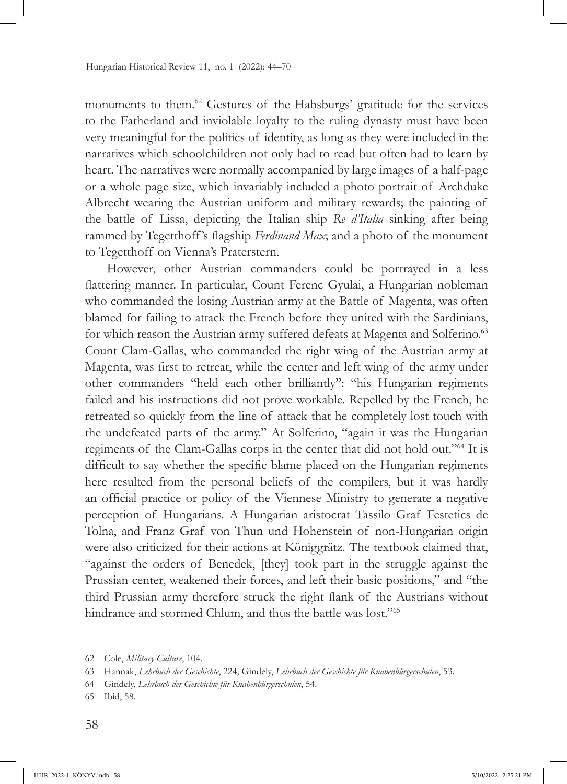monuments to them.62 Gestures of the Habsburgs' gratitude for the services to the Fatherland and inviolable loyalty to the ruling dynasty must have been very meaningful for the politics of identity, as long as they were included in the narratives which schoolchildren not only had to read but often had to learn by heart. The narratives were normally accompanied by large images of a half-page or a whole page size, which invariably included a photo portrait of Archduke Albrecht wearing the Austrian uniform and military rewards; the painting of the battle of Lissa, depicting the Italian ship *Re d'Italia* sinking after being rammed by Tegetthoff 's flagship *Ferdinand Max*; and a photo of the monument to Tegetthoff on Vienna's Praterstern.

However, other Austrian commanders could be portrayed in a less flattering manner. In particular, Count Ferenc Gyulai, a Hungarian nobleman who commanded the losing Austrian army at the Battle of Magenta, was often blamed for failing to attack the French before they united with the Sardinians, for which reason the Austrian army suffered defeats at Magenta and Solferino.<sup>63</sup> Count Clam-Gallas, who commanded the right wing of the Austrian army at Magenta, was first to retreat, while the center and left wing of the army under other commanders "held each other brilliantly": "his Hungarian regiments failed and his instructions did not prove workable. Repelled by the French, he retreated so quickly from the line of attack that he completely lost touch with the undefeated parts of the army." At Solferino, "again it was the Hungarian regiments of the Clam-Gallas corps in the center that did not hold out."64 It is difficult to say whether the specific blame placed on the Hungarian regiments here resulted from the personal beliefs of the compilers, but it was hardly an official practice or policy of the Viennese Ministry to generate a negative perception of Hungarians. A Hungarian aristocrat Tassilo Graf Festetics de Tolna, and Franz Graf von Thun und Hohenstein of non-Hungarian origin were also criticized for their actions at Königgrätz. The textbook claimed that, "against the orders of Benedek, [they] took part in the struggle against the Prussian center, weakened their forces, and left their basic positions," and "the third Prussian army therefore struck the right flank of the Austrians without hindrance and stormed Chlum, and thus the battle was lost."<sup>65</sup>

<sup>62</sup> Cole, *Military Culture*, 104.

<sup>63</sup> Hannak, *Lehrbuch der Geschichte*, 224; Gindely, *Lehrbuch der Geschichte für Knabenbürgerschulen*, 53.

<sup>64</sup> Gindely, *Lehrbuch der Geschichte für Knabenbürgerschulen*, 54.

<sup>65</sup> Ibid, 58.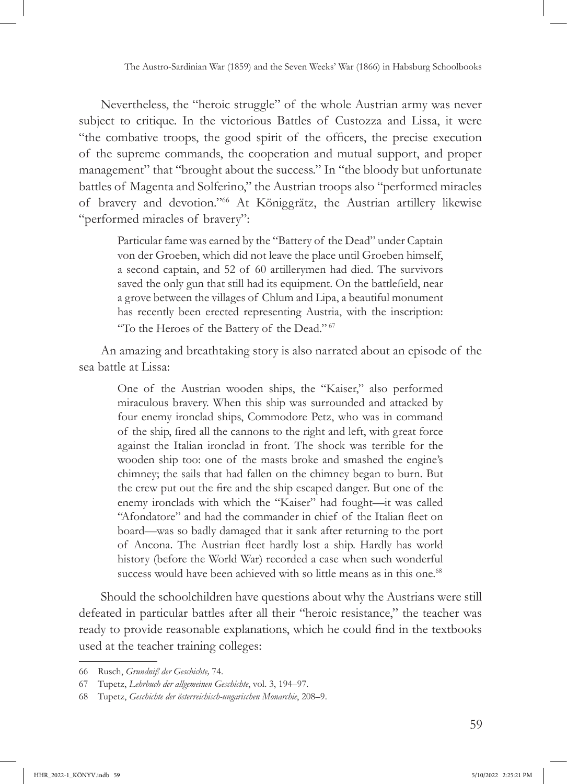Nevertheless, the "heroic struggle" of the whole Austrian army was never subject to critique. In the victorious Battles of Custozza and Lissa, it were "the combative troops, the good spirit of the officers, the precise execution of the supreme commands, the cooperation and mutual support, and proper management" that "brought about the success." In "the bloody but unfortunate battles of Magenta and Solferino," the Austrian troops also "performed miracles of bravery and devotion."66 At Königgrätz, the Austrian artillery likewise "performed miracles of bravery":

Particular fame was earned by the "Battery of the Dead" under Captain von der Groeben, which did not leave the place until Groeben himself, a second captain, and 52 of 60 artillerymen had died. The survivors saved the only gun that still had its equipment. On the battlefield, near a grove between the villages of Chlum and Lipa, a beautiful monument has recently been erected representing Austria, with the inscription: "To the Heroes of the Battery of the Dead."<sup>67</sup>

An amazing and breathtaking story is also narrated about an episode of the sea battle at Lissa:

One of the Austrian wooden ships, the "Kaiser," also performed miraculous bravery. When this ship was surrounded and attacked by four enemy ironclad ships, Commodore Petz, who was in command of the ship, fired all the cannons to the right and left, with great force against the Italian ironclad in front. The shock was terrible for the wooden ship too: one of the masts broke and smashed the engine's chimney; the sails that had fallen on the chimney began to burn. But the crew put out the fire and the ship escaped danger. But one of the enemy ironclads with which the "Kaiser" had fought—it was called "Afondatore" and had the commander in chief of the Italian fleet on board—was so badly damaged that it sank after returning to the port of Ancona. The Austrian fleet hardly lost a ship. Hardly has world history (before the World War) recorded a case when such wonderful success would have been achieved with so little means as in this one.<sup>68</sup>

Should the schoolchildren have questions about why the Austrians were still defeated in particular battles after all their "heroic resistance," the teacher was ready to provide reasonable explanations, which he could find in the textbooks used at the teacher training colleges:

<sup>66</sup> Rusch, *Grundniß der Geschichte,* 74.

<sup>67</sup> Tupetz, *Lehrbuch der allgemeinen Geschichte*, vol. 3, 194–97.

<sup>68</sup> Tupetz, *Geschichte der österreichisch-ungarischen Monarchie*, 208–9.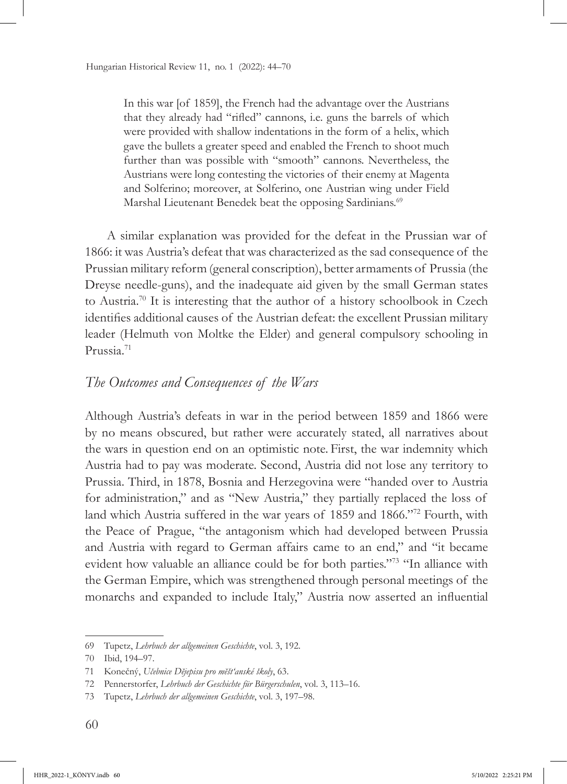In this war [of 1859], the French had the advantage over the Austrians that they already had "rifled" cannons, i.e. guns the barrels of which were provided with shallow indentations in the form of a helix, which gave the bullets a greater speed and enabled the French to shoot much further than was possible with "smooth" cannons. Nevertheless, the Austrians were long contesting the victories of their enemy at Magenta and Solferino; moreover, at Solferino, one Austrian wing under Field Marshal Lieutenant Benedek beat the opposing Sardinians.<sup>69</sup>

A similar explanation was provided for the defeat in the Prussian war of 1866: it was Austria's defeat that was characterized as the sad consequence of the Prussian military reform (general conscription), better armaments of Prussia (the Dreyse needle-guns), and the inadequate aid given by the small German states to Austria.<sup>70</sup> It is interesting that the author of a history schoolbook in Czech identifies additional causes of the Austrian defeat: the excellent Prussian military leader (Helmuth von Moltke the Elder) and general compulsory schooling in Prussia.71

#### *The Outcomes and Consequences of the Wars*

Although Austria's defeats in war in the period between 1859 and 1866 were by no means obscured, but rather were accurately stated, all narratives about the wars in question end on an optimistic note. First, the war indemnity which Austria had to pay was moderate. Second, Austria did not lose any territory to Prussia. Third, in 1878, Bosnia and Herzegovina were "handed over to Austria for administration," and as "New Austria," they partially replaced the loss of land which Austria suffered in the war years of 1859 and 1866."72 Fourth, with the Peace of Prague, "the antagonism which had developed between Prussia and Austria with regard to German affairs came to an end," and "it became evident how valuable an alliance could be for both parties."73 "In alliance with the German Empire, which was strengthened through personal meetings of the monarchs and expanded to include Italy," Austria now asserted an influential

<sup>69</sup> Tupetz, *Lehrbuch der allgemeinen Geschichte*, vol. 3, 192.

<sup>70</sup> Ibid, 194–97.

<sup>71</sup> Konečný, *Učebnice Dĕjepisu pro mĕšt'anské školy*, 63.

<sup>72</sup> Pennerstorfer, *Lehrbuch der Geschichte für Bürgerschulen*, vol. 3, 113–16.

<sup>73</sup> Tupetz, *Lehrbuch der allgemeinen Geschichte*, vol. 3, 197–98.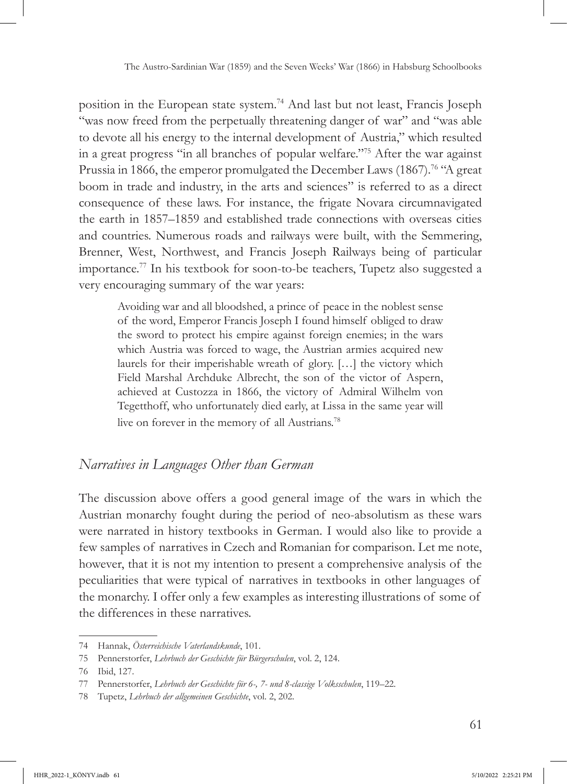position in the European state system.74 And last but not least, Francis Joseph "was now freed from the perpetually threatening danger of war" and "was able to devote all his energy to the internal development of Austria," which resulted in a great progress "in all branches of popular welfare."75 After the war against Prussia in 1866, the emperor promulgated the December Laws (1867).<sup>76</sup> "A great boom in trade and industry, in the arts and sciences" is referred to as a direct consequence of these laws. For instance, the frigate Novara circumnavigated the earth in 1857–1859 and established trade connections with overseas cities and countries. Numerous roads and railways were built, with the Semmering, Brenner, West, Northwest, and Francis Joseph Railways being of particular importance.77 In his textbook for soon-to-be teachers, Tupetz also suggested a very encouraging summary of the war years:

Avoiding war and all bloodshed, a prince of peace in the noblest sense of the word, Emperor Francis Joseph I found himself obliged to draw the sword to protect his empire against foreign enemies; in the wars which Austria was forced to wage, the Austrian armies acquired new laurels for their imperishable wreath of glory. […] the victory which Field Marshal Archduke Albrecht, the son of the victor of Aspern, achieved at Custozza in 1866, the victory of Admiral Wilhelm von Tegetthoff, who unfortunately died early, at Lissa in the same year will live on forever in the memory of all Austrians.<sup>78</sup>

## *Narratives in Languages Other than German*

The discussion above offers a good general image of the wars in which the Austrian monarchy fought during the period of neo-absolutism as these wars were narrated in history textbooks in German. I would also like to provide a few samples of narratives in Czech and Romanian for comparison. Let me note, however, that it is not my intention to present a comprehensive analysis of the peculiarities that were typical of narratives in textbooks in other languages of the monarchy. I offer only a few examples as interesting illustrations of some of the differences in these narratives.

<sup>74</sup> Hannak, *Österreichische Vaterlandskunde*, 101.

<sup>75</sup> Pennerstorfer, *Lehrbuch der Geschichte für Bürgerschulen*, vol. 2, 124.

<sup>76</sup> Ibid, 127.

<sup>77</sup> Pennerstorfer, *Lehrbuch der Geschichte für 6-, 7- und 8-classige Volksschulen*, 119–22.

<sup>78</sup> Tupetz, *Lehrbuch der allgemeinen Geschichte*, vol. 2, 202.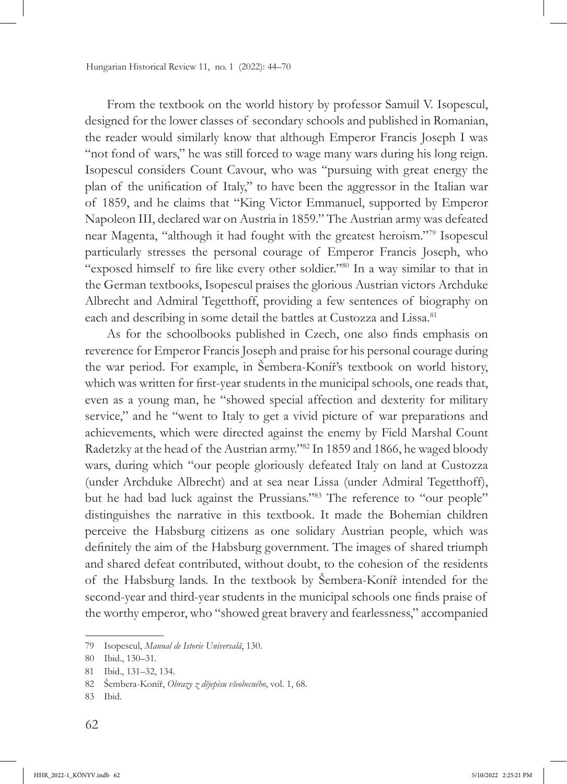From the textbook on the world history by professor Samuil V. Isopescul, designed for the lower classes of secondary schools and published in Romanian, the reader would similarly know that although Emperor Francis Joseph I was "not fond of wars," he was still forced to wage many wars during his long reign. Isopescul considers Count Cavour, who was "pursuing with great energy the plan of the unification of Italy," to have been the aggressor in the Italian war of 1859, and he claims that "King Victor Emmanuel, supported by Emperor Napoleon III, declared war on Austria in 1859." The Austrian army was defeated near Magenta, "although it had fought with the greatest heroism."79 Isopescul particularly stresses the personal courage of Emperor Francis Joseph, who "exposed himself to fire like every other soldier."<sup>80</sup> In a way similar to that in the German textbooks, Isopescul praises the glorious Austrian victors Archduke Albrecht and Admiral Tegetthoff, providing a few sentences of biography on each and describing in some detail the battles at Custozza and Lissa.<sup>81</sup>

As for the schoolbooks published in Czech, one also finds emphasis on reverence for Emperor Francis Joseph and praise for his personal courage during the war period. For example, in Šembera-Koníř's textbook on world history, which was written for first-year students in the municipal schools, one reads that, even as a young man, he "showed special affection and dexterity for military service," and he "went to Italy to get a vivid picture of war preparations and achievements, which were directed against the enemy by Field Marshal Count Radetzky at the head of the Austrian army."82 In 1859 and 1866, he waged bloody wars, during which "our people gloriously defeated Italy on land at Custozza (under Archduke Albrecht) and at sea near Lissa (under Admiral Tegetthoff), but he had bad luck against the Prussians."<sup>83</sup> The reference to "our people" distinguishes the narrative in this textbook. It made the Bohemian children perceive the Habsburg citizens as one solidary Austrian people, which was definitely the aim of the Habsburg government. The images of shared triumph and shared defeat contributed, without doubt, to the cohesion of the residents of the Habsburg lands. In the textbook by Šembera-Koníř intended for the second-year and third-year students in the municipal schools one finds praise of the worthy emperor, who "showed great bravery and fearlessness," accompanied

<sup>79</sup> Isopescul, *Manual de Istorie Universală*, 130.

<sup>80</sup> Ibid., 130–31.

<sup>81</sup> Ibid., 131–32, 134.

<sup>82</sup> Šembera-Koníř, *Obrazy z dĕjepisu všeobecného*, vol. 1, 68.

<sup>83</sup> Ibid.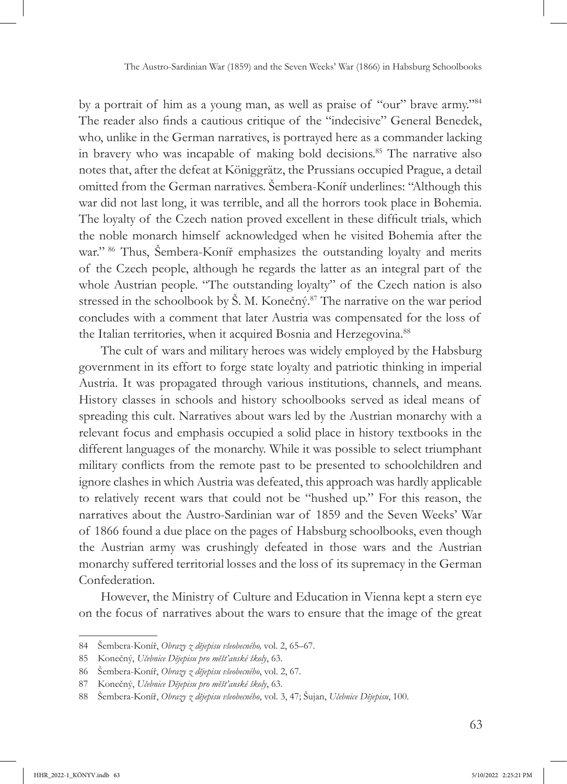by a portrait of him as a young man, as well as praise of "our" brave army."<sup>84</sup> The reader also finds a cautious critique of the "indecisive" General Benedek, who, unlike in the German narratives, is portrayed here as a commander lacking in bravery who was incapable of making bold decisions.<sup>85</sup> The narrative also notes that, after the defeat at Königgrätz, the Prussians occupied Prague, a detail omitted from the German narratives. Šembera-Koníř underlines: "Although this war did not last long, it was terrible, and all the horrors took place in Bohemia. The loyalty of the Czech nation proved excellent in these difficult trials, which the noble monarch himself acknowledged when he visited Bohemia after the war."<sup>86</sup> Thus, Šembera-Koníř emphasizes the outstanding loyalty and merits of the Czech people, although he regards the latter as an integral part of the whole Austrian people. "The outstanding loyalty" of the Czech nation is also stressed in the schoolbook by Š. M. Konečný.<sup>87</sup> The narrative on the war period concludes with a comment that later Austria was compensated for the loss of the Italian territories, when it acquired Bosnia and Herzegovina.<sup>88</sup>

The cult of wars and military heroes was widely employed by the Habsburg government in its effort to forge state loyalty and patriotic thinking in imperial Austria. It was propagated through various institutions, channels, and means. History classes in schools and history schoolbooks served as ideal means of spreading this cult. Narratives about wars led by the Austrian monarchy with a relevant focus and emphasis occupied a solid place in history textbooks in the different languages of the monarchy. While it was possible to select triumphant military conflicts from the remote past to be presented to schoolchildren and ignore clashes in which Austria was defeated, this approach was hardly applicable to relatively recent wars that could not be "hushed up." For this reason, the narratives about the Austro-Sardinian war of 1859 and the Seven Weeks' War of 1866 found a due place on the pages of Habsburg schoolbooks, even though the Austrian army was crushingly defeated in those wars and the Austrian monarchy suffered territorial losses and the loss of its supremacy in the German Confederation.

However, the Ministry of Culture and Education in Vienna kept a stern eye on the focus of narratives about the wars to ensure that the image of the great

<sup>84</sup> Šembera-Koníř, *Obrazy z dĕjepisu všeobecného,* vol. 2, 65–67.

<sup>85</sup> Konečný, *Učebnice Dĕjepisu pro mĕšt'anské školy*, 63.

<sup>86</sup> Šembera-Koníř, *Obrazy z dĕjepisu všeobecného*, vol. 2, 67.

<sup>87</sup> Konečný, *Učebnice Dĕjepisu pro mĕšt'anské školy*, 63.

<sup>88</sup> Šembera-Koníř, *Obrazy z dĕjepisu všeobecného*, vol. 3, 47; Šujan, *Učebnice Dĕjepisu*, 100.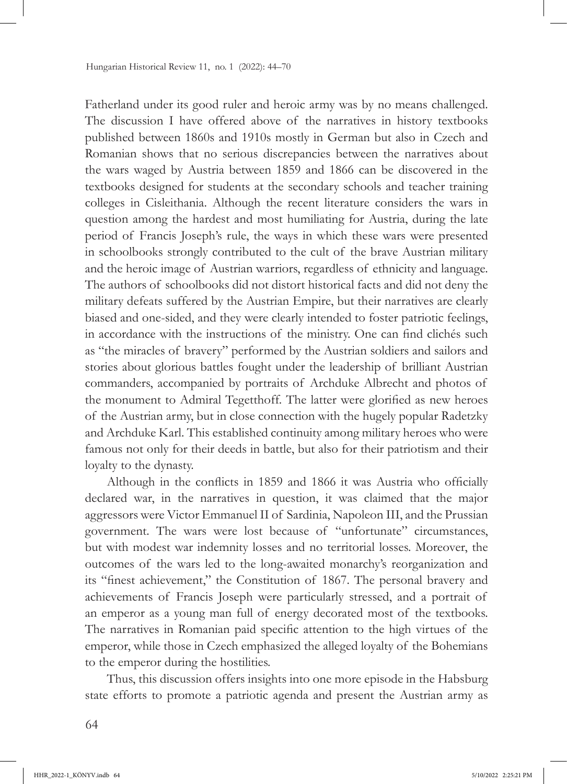Fatherland under its good ruler and heroic army was by no means challenged. The discussion I have offered above of the narratives in history textbooks published between 1860s and 1910s mostly in German but also in Czech and Romanian shows that no serious discrepancies between the narratives about the wars waged by Austria between 1859 and 1866 can be discovered in the textbooks designed for students at the secondary schools and teacher training colleges in Cisleithania. Although the recent literature considers the wars in question among the hardest and most humiliating for Austria, during the late period of Francis Joseph's rule, the ways in which these wars were presented in schoolbooks strongly contributed to the cult of the brave Austrian military and the heroic image of Austrian warriors, regardless of ethnicity and language. The authors of schoolbooks did not distort historical facts and did not deny the military defeats suffered by the Austrian Empire, but their narratives are clearly biased and one-sided, and they were clearly intended to foster patriotic feelings, in accordance with the instructions of the ministry. One can find clichés such as "the miracles of bravery" performed by the Austrian soldiers and sailors and stories about glorious battles fought under the leadership of brilliant Austrian commanders, accompanied by portraits of Archduke Albrecht and photos of the monument to Admiral Tegetthoff. The latter were glorified as new heroes of the Austrian army, but in close connection with the hugely popular Radetzky and Archduke Karl. This established continuity among military heroes who were famous not only for their deeds in battle, but also for their patriotism and their loyalty to the dynasty.

Although in the conflicts in 1859 and 1866 it was Austria who officially declared war, in the narratives in question, it was claimed that the major aggressors were Victor Emmanuel II of Sardinia, Napoleon III, and the Prussian government. The wars were lost because of "unfortunate" circumstances, but with modest war indemnity losses and no territorial losses. Moreover, the outcomes of the wars led to the long-awaited monarchy's reorganization and its "finest achievement," the Constitution of 1867. The personal bravery and achievements of Francis Joseph were particularly stressed, and a portrait of an emperor as a young man full of energy decorated most of the textbooks. The narratives in Romanian paid specific attention to the high virtues of the emperor, while those in Czech emphasized the alleged loyalty of the Bohemians to the emperor during the hostilities.

Thus, this discussion offers insights into one more episode in the Habsburg state efforts to promote a patriotic agenda and present the Austrian army as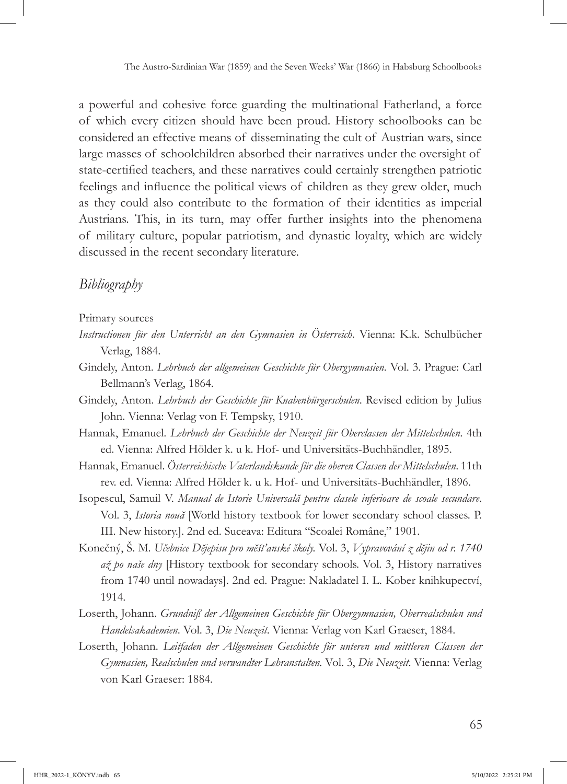a powerful and cohesive force guarding the multinational Fatherland, a force of which every citizen should have been proud. History schoolbooks can be considered an effective means of disseminating the cult of Austrian wars, since large masses of schoolchildren absorbed their narratives under the oversight of state-certified teachers, and these narratives could certainly strengthen patriotic feelings and influence the political views of children as they grew older, much as they could also contribute to the formation of their identities as imperial Austrians. This, in its turn, may offer further insights into the phenomena of military culture, popular patriotism, and dynastic loyalty, which are widely discussed in the recent secondary literature.

### *Bibliography*

#### Primary sources

- *Instructionen für den Unterricht an den Gymnasien in Österreich*. Vienna: K.k. Schulbücher Verlag, 1884.
- Gindely, Anton. *Lehrbuch der allgemeinen Geschichte für Obergymnasien.* Vol. 3. Prague: Carl Bellmann's Verlag, 1864.
- Gindely, Anton. *Lehrbuch der Geschichte für Knabenbürgerschulen*. Revised edition by Julius John. Vienna: Verlag von F. Tempsky, 1910.
- Hannak, Emanuel. *Lehrbuch der Geschichte der Neuzeit für Oberclassen der Mittelschulen*. 4th ed. Vienna: Alfred Hölder k. u k. Hof- und Universitäts-Buchhändler, 1895.
- Hannak, Emanuel. *Österreichische Vaterlandskunde für die oberen Classen der Mittelschulen*. 11th rev. ed. Vienna: Alfred Hölder k. u k. Hof- und Universitäts-Buchhändler, 1896.
- Isopescul, Samuil V. *Manual de Istorie Universală pentru clasele inferioare de scoale secundare*. Vol. 3, *Istoria nouă* [World history textbook for lower secondary school classes. P. III. New history.]. 2nd ed. Suceava: Editura "Scoalei Române," 1901.
- Konečný, Š. M. *Učebnice Dĕjepisu pro mĕšt'anské školy.* Vol. 3, *Vypravování z dĕjin od r. 1740 až po naše dny* [History textbook for secondary schools. Vol. 3, History narratives from 1740 until nowadays]. 2nd ed. Prague: Nakladatel I. L. Kober knihkupectví, 1914.
- Loserth, Johann. *Grundniß der Allgemeinen Geschichte für Obergymnasien, Oberrealschulen und Handelsakademien*. Vol. 3, *Die Neuzeit*. Vienna: Verlag von Karl Graeser, 1884.
- Loserth, Johann. *Leitfaden der Allgemeinen Geschichte für unteren und mittleren Classen der Gymnasien, Realschulen und verwandter Lehranstalten.* Vol. 3, *Die Neuzeit*. Vienna: Verlag von Karl Graeser: 1884.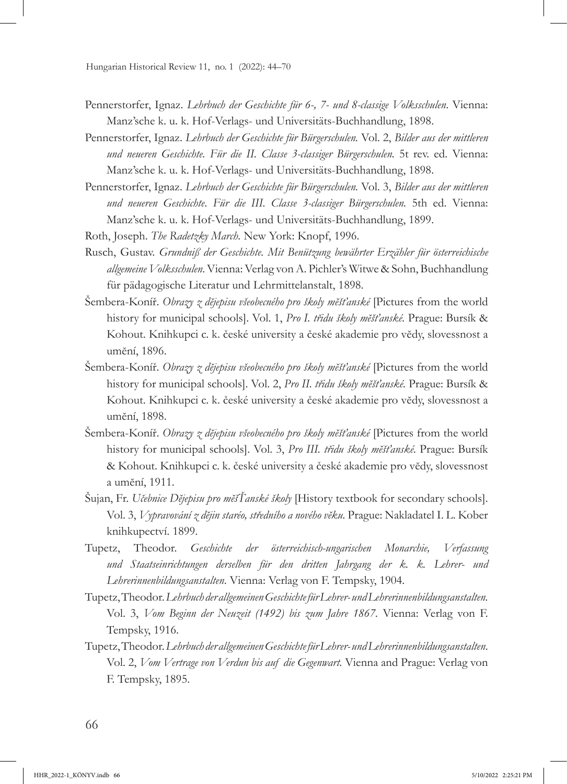- Pennerstorfer, Ignaz. *Lehrbuch der Geschichte für 6-, 7- und 8-classige Volksschulen*. Vienna: Manz'sche k. u. k. Hof-Verlags- und Universitäts-Buchhandlung, 1898.
- Pennerstorfer, Ignaz. *Lehrbuch der Geschichte für Bürgerschulen.* Vol. 2, *Bilder aus der mittleren und neueren Geschichte. Für die II. Classe 3-classiger Bürgerschulen.* 5t rev. ed. Vienna: Manz'sche k. u. k. Hof-Verlags- und Universitäts-Buchhandlung, 1898.
- Pennerstorfer, Ignaz. *Lehrbuch der Geschichte für Bürgerschulen.* Vol. 3, *Bilder aus der mittleren und neueren Geschichte*. *Für die III. Classe 3-classiger Bürgerschulen.* 5th ed. Vienna: Manz'sche k. u. k. Hof-Verlags- und Universitäts-Buchhandlung, 1899.
- Roth, Joseph. *The Radetzky March.* New York: Knopf, 1996.
- Rusch, Gustav. *Grundniß der Geschichte. Mit Benützung bewährter Erzähler für österreichische allgemeine Volksschulen*. Vienna: Verlag von A. Pichler's Witwe & Sohn, Buchhandlung für pädagogische Literatur und Lehrmittelanstalt, 1898.
- Šembera-Koníř. *Obrazy z dĕjepisu všeobecného pro školy mĕšťanské* [Pictures from the world history for municipal schools]. Vol. 1, *Pro I. třidu školy mĕšťanské.* Prague: Bursík & Kohout. Knihkupci c. k. české university a české akademie pro vĕdy, slovessnost a umĕní, 1896.
- Šembera-Koníř. *Obrazy z dĕjepisu všeobecného pro školy mĕšťanské* [Pictures from the world history for municipal schools]. Vol. 2, *Pro II. třidu školy mĕšťanské.* Prague: Bursík & Kohout. Knihkupci c. k. české university a české akademie pro vĕdy, slovessnost a umĕní, 1898.
- Šembera-Koníř. *Obrazy z dĕjepisu všeobecného pro školy mĕšťanské* [Pictures from the world history for municipal schools]. Vol. 3, *Pro III. třidu školy mĕšťanské.* Prague: Bursík & Kohout. Knihkupci c. k. české university a české akademie pro vĕdy, slovessnost a umĕní, 1911.
- Šujan, Fr. *Učebnice Dĕjepisu pro mĕšŤanské školy* [History textbook for secondary schools]. Vol. 3, *Vypravování z dĕjin staréo, středního a nového vĕku.* Prague: Nakladatel I. L. Kober knihkupectví. 1899.
- Tupetz, Theodor. *Geschichte der österreichisch-ungarischen Monarchie, Verfassung und Staatseinrichtungen derselben für den dritten Jahrgang der k. k. Lehrer- und Lehrerinnenbildungsanstalten*. Vienna: Verlag von F. Tempsky, 1904.
- Tupetz, Theodor. *Lehrbuch der allgemeinen Geschichte für Lehrer- und Lehrerinnenbildungsanstalten.* Vol. 3, *Vom Beginn der Neuzeit (1492) bis zum Jahre 1867.* Vienna: Verlag von F. Tempsky, 1916.
- Tupetz, Theodor. *Lehrbuch der allgemeinen Geschichte für Lehrer- und Lehrerinnenbildungsanstalten*. Vol. 2, *Vom Vertrage von Verdun bis auf die Gegenwart.* Vienna and Prague: Verlag von F. Tempsky, 1895.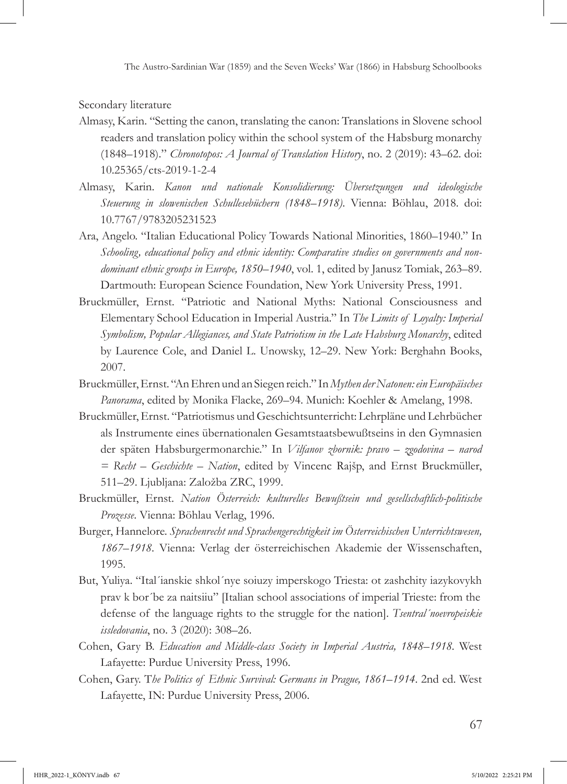Secondary literature

- Almasy, Karin. "Setting the canon, translating the canon: Translations in Slovene school readers and translation policy within the school system of the Habsburg monarchy (1848–1918)." *Chronotopos: A Journal of Translation History*, no. 2 (2019): 43–62. doi: [10.25365/cts-2019-1-2-4](https://doi.org/10.25365/cts-2019-1-2-4)
- Almasy, Karin. *Kanon und nationale Konsolidierung: Übersetzungen und ideologische Steuerung in slowenischen Schullesebüchern (1848–1918)*. Vienna: Böhlau, 2018. doi: [10.7767/9783205231523](https://doi.org/10.7767/9783205231523)
- Ara, Angelo. "Italian Educational Policy Towards National Minorities, 1860–1940." In *Schooling, educational policy and ethnic identity: Comparative studies on governments and nondominant ethnic groups in Europe, 1850–1940*, vol. 1, edited by Janusz Tomiak, 263–89. Dartmouth: European Science Foundation, New York University Press, 1991.
- Bruckmüller, Ernst. "Patriotic and National Myths: National Consciousness and Elementary School Education in Imperial Austria." In *The Limits of Loyalty: Imperial Symbolism, Popular Allegiances, and State Patriotism in the Late Habsburg Monarchy*, edited by Laurence Cole, and Daniel L. Unowsky, 12–29. New York: Berghahn Books, 2007.
- Bruckmüller, Ernst. "An Ehren und an Siegen reich." In *Mythen der Natonen: ein Europäisches Panorama*, edited by Monika Flacke, 269–94. Munich: Koehler & Amelang, 1998.
- Bruckmüller, Ernst. "Patriotismus und Geschichtsunterricht: Lehrpläne und Lehrbücher als Instrumente eines übernationalen Gesamtstaatsbewußtseins in den Gymnasien der späten Habsburgermonarchie." In *Vilfanov zbornik: pravo – zgodovina – narod = Recht – Geschichte – Nation*, edited by Vincenc Rajšp, and Ernst Bruckmüller, 511–29. Ljubljana: Založba ZRC, 1999.
- Bruckmüller, Ernst. *Nation Österreich: kulturelles Bewußtsein und gesellschaftlich-politische Prozesse*. Vienna: Böhlau Verlag, 1996.
- Burger, Hannelore. *Sprachenrecht und Sprachengerechtigkeit im Österreichischen Unterrichtswesen, 1867–1918*. Vienna: Verlag der österreichischen Akademie der Wissenschaften, 1995.
- But, Yuliya. "Ital´ianskie shkol´nye soiuzy imperskogo Triesta: ot zashchity iazykovykh prav k bor´be za naitsiiu" [Italian school associations of imperial Trieste: from the defense of the language rights to the struggle for the nation]. *Tsentral´noevropeiskie issledovania*, no. 3 (2020): 308–26.
- Cohen, Gary B. *Education and Middle-class Society in Imperial Austria, 1848–1918.* West Lafayette: Purdue University Press, 1996.
- Cohen, Gary. T*he Politics of Ethnic Survival: Germans in Prague, 1861–1914*. 2nd ed. West Lafayette, IN: Purdue University Press, 2006.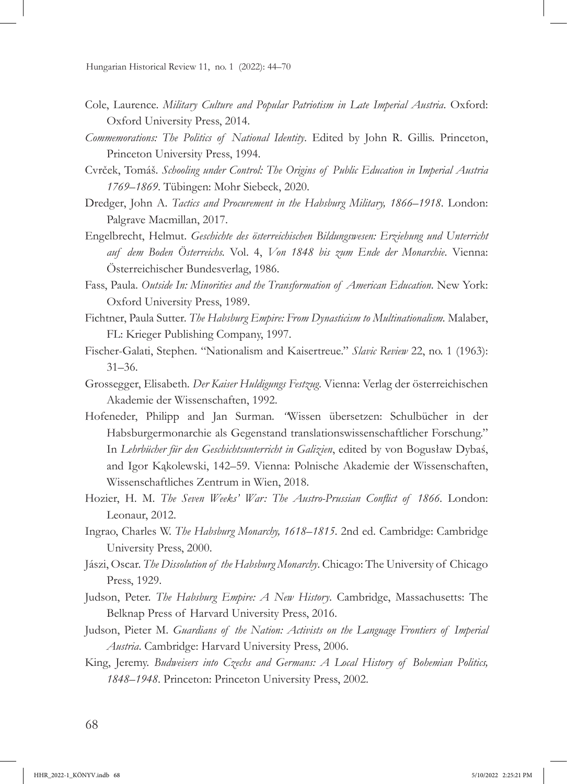- Cole, Laurence. *Military Culture and Popular Patriotism in Late Imperial Austria*. Oxford: Oxford University Press, 2014.
- *Commemorations: The Politics of National Identity*. Edited by John R. Gillis. Princeton, Princeton University Press, 1994.
- Cvrček, Tomáš. *Schooling under Control: The Origins of Public Education in Imperial Austria 1769–1869*. Tübingen: Mohr Siebeck, 2020.
- Dredger, John A. *Tactics and Procurement in the Habsburg Military, 1866–1918*. London: Palgrave Macmillan, 2017.
- Engelbrecht, Helmut. *Geschichte des österreichischen Bildungswesen: Erziehung und Unterricht auf dem Boden Österreichs.* Vol. 4, *Von 1848 bis zum Ende der Monarchie*. Vienna: Österreichischer Bundesverlag, 1986.
- Fass, Paula. *Outside In: Minorities and the Transformation of American Education*. New York: Oxford University Press, 1989.
- Fichtner, Paula Sutter. *The Habsburg Empire: From Dynasticism to Multinationalism.* Malaber, FL: Krieger Publishing Company, 1997.
- Fischer-Galati, Stephen. "Nationalism and Kaisertreue." *Slavic Review* 22, no. 1 (1963): 31–36.
- Grossegger, Elisabeth*. Der Kaiser Huldigungs Festzug*. Vienna: Verlag der österreichischen Akademie der Wissenschaften, 1992.
- Hofeneder, Philipp and Jan Surman*. "*Wissen übersetzen: Schulbücher in der Habsburgermonarchie als Gegenstand translationswissenschaftlicher Forschung." In *Lehrbücher für den Geschichtsunterricht in Galizien*, edited by von Bogusław Dybaś, and Igor Kąkolewski, 142–59. Vienna: Polnische Akademie der Wissenschaften, Wissenschaftliches Zentrum in Wien, 2018.
- Hozier, H. M. *The Seven Weeks' War: The Austro-Prussian Conflict of 1866*. London: Leonaur, 2012.
- Ingrao, Charles W. *The Habsburg Monarchy, 1618–1815*. 2nd ed. Cambridge: Cambridge University Press, 2000.
- Jászi, Oscar. *The Dissolution of the Habsburg Monarchy*. Chicago: The University of Chicago Press, 1929.
- Judson, Peter. *The Habsburg Empire: A New History*. Cambridge, Massachusetts: The Belknap Press of Harvard University Press, 2016.
- Judson, Pieter M. *Guardians of the Nation: Activists on the Language Frontiers of Imperial Austria*. Cambridge: Harvard University Press, 2006.
- King, Jeremy. *Budweisers into Czechs and Germans: A Local History of Bohemian Politics, 1848–1948*. Princeton: Princeton University Press, 2002.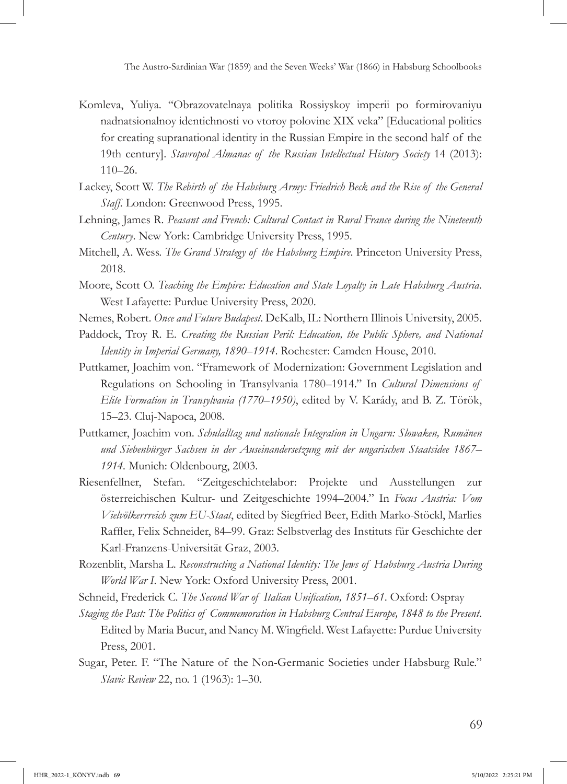- Komleva, Yuliya. "Obrazovatelnaya politika Rossiyskoy imperii po formirovaniyu nadnatsionalnoy identichnosti vo vtoroy polovine XIX veka" [Educational politics for creating supranational identity in the Russian Empire in the second half of the 19th century]. *Stavropol Almanac of the Russian Intellectual History Society* 14 (2013): 110–26.
- Lackey, Scott W. *The Rebirth of the Habsburg Army: Friedrich Beck and the Rise of the General Staff.* London: Greenwood Press, 1995.
- Lehning, James R. *Peasant and French: Cultural Contact in Rural France during the Nineteenth Century*. New York: Cambridge University Press, 1995.
- Mitchell, A. Wess. *The Grand Strategy of the Habsburg Empire*. Princeton University Press, 2018.
- Moore, Scott O. *Teaching the Empire: Education and State Loyalty in Late Habsburg Austria*. West Lafayette: Purdue University Press, 2020.
- Nemes, Robert. *Once and Future Budapest*. DeKalb, IL: Northern Illinois University, 2005.
- Paddock, Troy R. E. *Creating the Russian Peril: Education, the Public Sphere, and National Identity in Imperial Germany, 1890–1914*. Rochester: Camden House, 2010.
- Puttkamer, Joachim von. "Framework of Modernization: Government Legislation and Regulations on Schooling in Transylvania 1780–1914." In *Cultural Dimensions of Elite Formation in Transylvania (1770–1950)*, edited by V. Karády, and B. Z. Török, 15–23. Cluj-Napoca, 2008.
- Puttkamer, Joachim von. *Schulalltag und nationale Integration in Ungarn: Slowaken, Rumänen und Siebenbürger Sachsen in der Auseinandersetzung mit der ungarischen Staatsidee 1867– 1914.* Munich: Oldenbourg, 2003.
- Riesenfellner, Stefan. "Zeitgeschichtelabor: Projekte und Ausstellungen zur österreichischen Kultur- und Zeitgeschichte 1994–2004." In *Focus Austria: Vom Vielvölkerrreich zum EU-Staat*, edited by Siegfried Beer, Edith Marko-Stöckl, Marlies Raffler, Felix Schneider, 84–99. Graz: Selbstverlag des Instituts für Geschichte der Karl-Franzens-Universität Graz, 2003.
- Rozenblit, Marsha L. *Reconstructing a National Identity: The Jews of Habsburg Austria During World War I*. New York: Oxford University Press, 2001.
- Schneid, Frederick C. *The Second War of Italian Unification, 1851–61*. Oxford: Ospray
- *Staging the Past: The Politics of Commemoration in Habsburg Central Europe, 1848 to the Present*. Edited by Maria Bucur, and Nancy M. Wingfield. West Lafayette: Purdue University Press, 2001.
- Sugar, Peter. F. "The Nature of the Non-Germanic Societies under Habsburg Rule." *Slavic Review* 22, no. 1 (1963): 1–30.